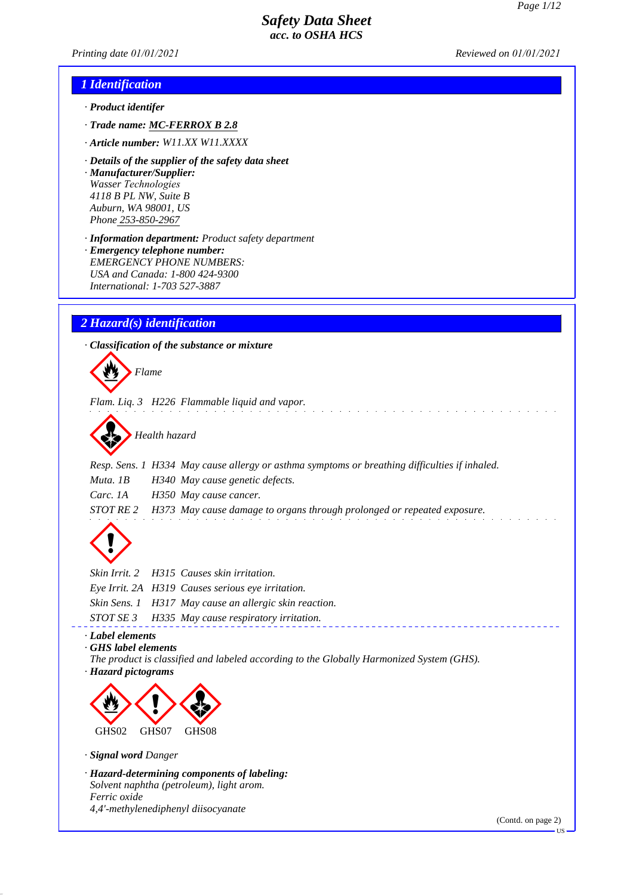*Printing date 01/01/2021 Reviewed on 01/01/2021*

#### *1 Identification*

- *· Product identifer*
- *· Trade name: MC-FERROX B 2.8*
- *· Article number: W11.XX W11.XXXX*
- *· Details of the supplier of the safety data sheet · Manufacturer/Supplier: Wasser Technologies 4118 B PL NW, Suite B Auburn, WA 98001, US Phone 253-850-2967*
- *· Information department: Product safety department · Emergency telephone number: EMERGENCY PHONE NUMBERS: USA and Canada: 1-800 424-9300 International: 1-703 527-3887*

### *2 Hazard(s) identification*

*· Classification of the substance or mixture*



*Flam. Liq. 3 H226 Flammable liquid and vapor.*



*Resp. Sens. 1 H334 May cause allergy or asthma symptoms or breathing difficulties if inhaled. Muta. 1B H340 May cause genetic defects. Carc. 1A H350 May cause cancer. STOT RE 2 H373 May cause damage to organs through prolonged or repeated exposure.*



|  | Skin Irrit. 2 H315 Causes skin irritation.             |
|--|--------------------------------------------------------|
|  | Eye Irrit. 2A H319 Causes serious eye irritation.      |
|  | Skin Sens. 1 H317 May cause an allergic skin reaction. |
|  | STOT SE 3 H335 May cause respiratory irritation.       |
|  |                                                        |

*· Label elements*

*· GHS label elements*

*The product is classified and labeled according to the Globally Harmonized System (GHS). · Hazard pictograms*



#### *· Signal word Danger*

*· Hazard-determining components of labeling: Solvent naphtha (petroleum), light arom. Ferric oxide 4,4'-methylenediphenyl diisocyanate*

(Contd. on page 2)

US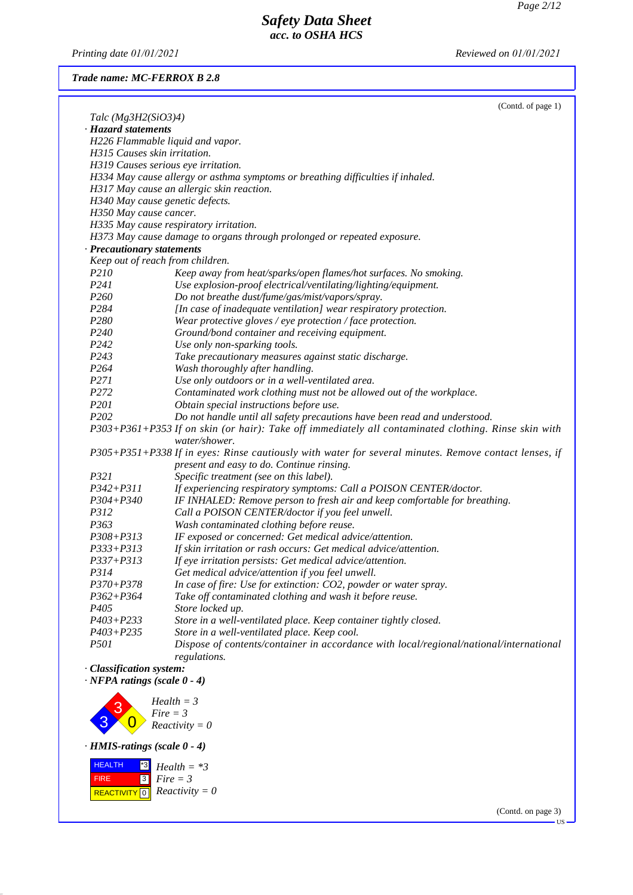**REACTIVITY** 0

*Reactivity = 0*

*Printing date 01/01/2021 Reviewed on 01/01/2021*

*Trade name: MC-FERROX B 2.8*

|                                    | (Contd. of page 1)                                                                                                    |
|------------------------------------|-----------------------------------------------------------------------------------------------------------------------|
| Talc $(Mg3H2(SiO3)4)$              |                                                                                                                       |
| · Hazard statements                |                                                                                                                       |
|                                    | H226 Flammable liquid and vapor.                                                                                      |
| H315 Causes skin irritation.       |                                                                                                                       |
|                                    | H319 Causes serious eye irritation.                                                                                   |
|                                    | H334 May cause allergy or asthma symptoms or breathing difficulties if inhaled.                                       |
|                                    | H317 May cause an allergic skin reaction.                                                                             |
|                                    | H340 May cause genetic defects.                                                                                       |
| H350 May cause cancer.             |                                                                                                                       |
|                                    | H335 May cause respiratory irritation.                                                                                |
|                                    | H373 May cause damage to organs through prolonged or repeated exposure.                                               |
| · Precautionary statements         |                                                                                                                       |
|                                    | Keep out of reach from children.                                                                                      |
| P <sub>210</sub>                   | Keep away from heat/sparks/open flames/hot surfaces. No smoking.                                                      |
| P241                               | Use explosion-proof electrical/ventilating/lighting/equipment.                                                        |
| P <sub>260</sub>                   | Do not breathe dust/fume/gas/mist/vapors/spray.                                                                       |
| P284                               | [In case of inadequate ventilation] wear respiratory protection.                                                      |
| P280                               | Wear protective gloves / eye protection / face protection.                                                            |
| P240                               | Ground/bond container and receiving equipment.                                                                        |
| P <sub>242</sub>                   | Use only non-sparking tools.                                                                                          |
| P243                               | Take precautionary measures against static discharge.                                                                 |
| P <sub>264</sub>                   | Wash thoroughly after handling.                                                                                       |
| P <sub>271</sub>                   | Use only outdoors or in a well-ventilated area.                                                                       |
| P272                               | Contaminated work clothing must not be allowed out of the workplace.                                                  |
| P201                               | Obtain special instructions before use.                                                                               |
| P <sub>202</sub>                   | Do not handle until all safety precautions have been read and understood.                                             |
|                                    | P303+P361+P353 If on skin (or hair): Take off immediately all contaminated clothing. Rinse skin with<br>water/shower. |
|                                    | P305+P351+P338 If in eyes: Rinse cautiously with water for several minutes. Remove contact lenses, if                 |
|                                    | present and easy to do. Continue rinsing.                                                                             |
| P321                               | Specific treatment (see on this label).                                                                               |
| $P342 + P311$                      | If experiencing respiratory symptoms: Call a POISON CENTER/doctor.                                                    |
| P304+P340                          | IF INHALED: Remove person to fresh air and keep comfortable for breathing.                                            |
| P312                               | Call a POISON CENTER/doctor if you feel unwell.                                                                       |
| P363                               | Wash contaminated clothing before reuse.                                                                              |
| P308+P313                          | IF exposed or concerned: Get medical advice/attention.                                                                |
| $P333 + P313$                      | If skin irritation or rash occurs: Get medical advice/attention.                                                      |
| $P337 + P313$                      | If eye irritation persists: Get medical advice/attention.                                                             |
| <i>P314</i>                        | Get medical advice/attention if you feel unwell.                                                                      |
| P370+P378                          | In case of fire: Use for extinction: CO2, powder or water spray.                                                      |
| $P362 + P364$                      | Take off contaminated clothing and wash it before reuse.                                                              |
| P <sub>405</sub>                   | Store locked up.                                                                                                      |
| $P403 + P233$                      | Store in a well-ventilated place. Keep container tightly closed.                                                      |
| $P403 + P235$                      | Store in a well-ventilated place. Keep cool.                                                                          |
| <i>P501</i>                        | Dispose of contents/container in accordance with local/regional/national/international                                |
|                                    | regulations.                                                                                                          |
| · Classification system:           |                                                                                                                       |
| $\cdot$ NFPA ratings (scale 0 - 4) |                                                                                                                       |
|                                    | $Health = 3$                                                                                                          |
|                                    | $Fire = 3$<br>$Reactivity = 0$                                                                                        |
|                                    |                                                                                                                       |
| · HMIS-ratings (scale 0 - 4)       |                                                                                                                       |
| <b>HEALTH</b><br>$^*3$<br>FIRE     | $Health = *3$<br>$3$ Fire = 3                                                                                         |
|                                    |                                                                                                                       |

(Contd. on page 3)

 $\overline{\mathbf{U}}$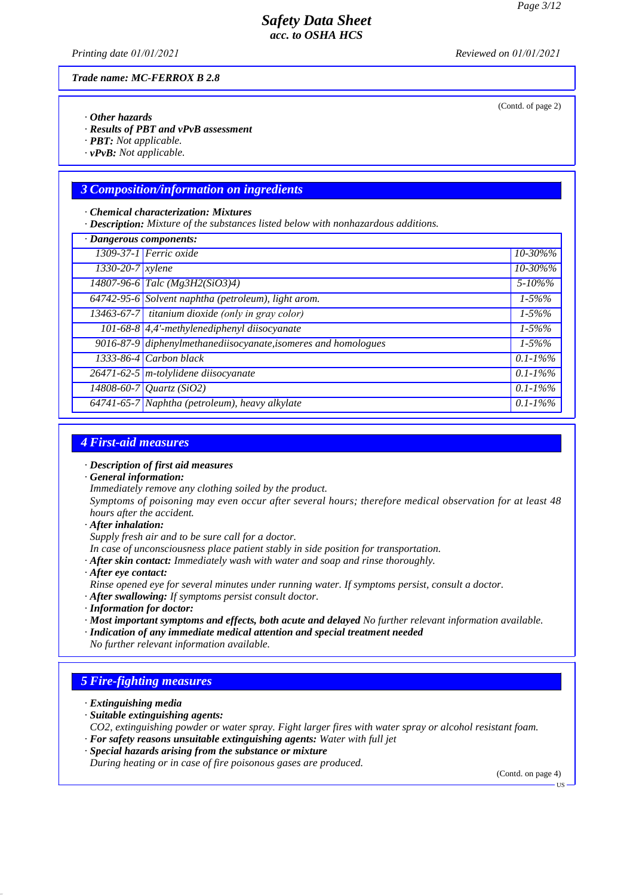(Contd. of page 2)

# *Safety Data Sheet acc. to OSHA HCS*

*Printing date 01/01/2021 Reviewed on 01/01/2021*

*Trade name: MC-FERROX B 2.8*

- *· Other hazards*
- *· Results of PBT and vPvB assessment*
- *· PBT: Not applicable.*
- *· vPvB: Not applicable.*

#### *3 Composition/information on ingredients*

*· Chemical characterization: Mixtures*

*· Description: Mixture of the substances listed below with nonhazardous additions.*

| · Dangerous components: |                                                                |               |  |
|-------------------------|----------------------------------------------------------------|---------------|--|
|                         | 1309-37-1 Ferric oxide                                         | 10-30%%       |  |
| $1330-20-7$ xylene      |                                                                | 10-30%%       |  |
|                         | 14807-96-6 Talc (Mg3H2(SiO3)4)                                 | 5-10%%        |  |
|                         | 64742-95-6 Solvent naphtha (petroleum), light arom.            | $1 - 5\%%$    |  |
|                         | 13463-67-7 titanium dioxide (only in gray color)               | $1 - 5\%%$    |  |
|                         | 101-68-8 4,4'-methylenediphenyl diisocyanate                   | $1 - 5\%%$    |  |
|                         | 9016-87-9 diphenylmethanediisocyanate, isomeres and homologues | $1 - 5\%%$    |  |
|                         | 1333-86-4 Carbon black                                         | $0.1 - 1\%$ % |  |
|                         | $26471 - 62 - 5$ m-tolylidene diisocyanate                     | $0.1 - 1\%$ % |  |
|                         | 14808-60-7 <i>Quartz</i> (SiO2)                                | $0.1 - 1\%$ % |  |
|                         | 64741-65-7 Naphtha (petroleum), heavy alkylate                 | $0.1 - 1\%$ % |  |

#### *4 First-aid measures*

- *· Description of first aid measures*
- *· General information:*

*Immediately remove any clothing soiled by the product.*

*Symptoms of poisoning may even occur after several hours; therefore medical observation for at least 48 hours after the accident.*

*· After inhalation:*

*Supply fresh air and to be sure call for a doctor.*

*In case of unconsciousness place patient stably in side position for transportation.*

- *· After skin contact: Immediately wash with water and soap and rinse thoroughly.*
- *· After eye contact:*

*Rinse opened eye for several minutes under running water. If symptoms persist, consult a doctor.*

- *· After swallowing: If symptoms persist consult doctor.*
- *· Information for doctor:*
- *· Most important symptoms and effects, both acute and delayed No further relevant information available.*
- *· Indication of any immediate medical attention and special treatment needed No further relevant information available.*

## *5 Fire-fighting measures*

- *· Extinguishing media*
- *· Suitable extinguishing agents:*
- *CO2, extinguishing powder or water spray. Fight larger fires with water spray or alcohol resistant foam. · For safety reasons unsuitable extinguishing agents: Water with full jet*
- *· Special hazards arising from the substance or mixture*

*During heating or in case of fire poisonous gases are produced.*

(Contd. on page 4)

US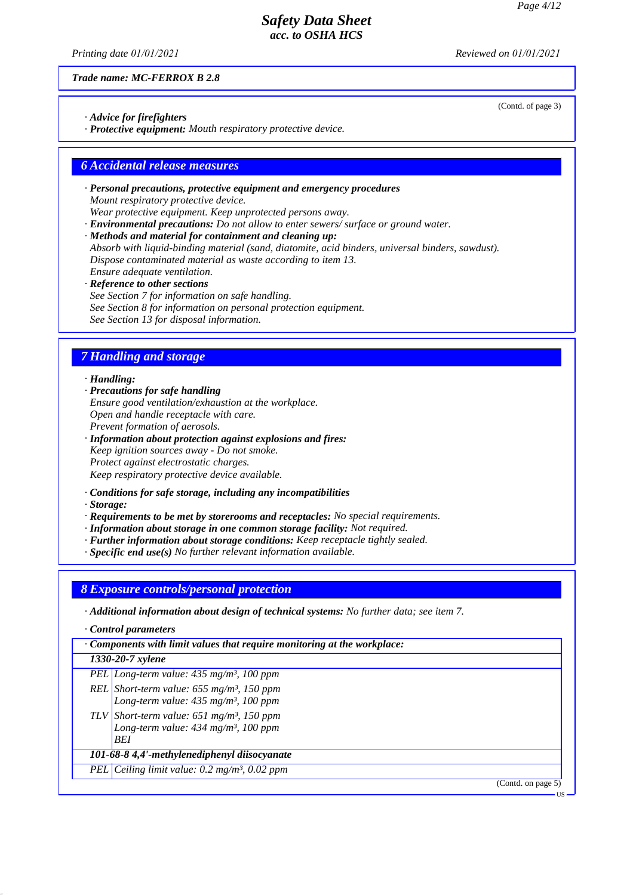(Contd. of page 3)

US

#### *Safety Data Sheet acc. to OSHA HCS*

*Printing date 01/01/2021 Reviewed on 01/01/2021*

*Trade name: MC-FERROX B 2.8*

*· Advice for firefighters*

*· Protective equipment: Mouth respiratory protective device.*

#### *6 Accidental release measures*

*· Personal precautions, protective equipment and emergency procedures Mount respiratory protective device.*

*Wear protective equipment. Keep unprotected persons away.*

*· Environmental precautions: Do not allow to enter sewers/ surface or ground water.*

*· Methods and material for containment and cleaning up: Absorb with liquid-binding material (sand, diatomite, acid binders, universal binders, sawdust). Dispose contaminated material as waste according to item 13. Ensure adequate ventilation.*

*· Reference to other sections See Section 7 for information on safe handling. See Section 8 for information on personal protection equipment. See Section 13 for disposal information.*

#### *7 Handling and storage*

*· Handling:*

- *· Precautions for safe handling Ensure good ventilation/exhaustion at the workplace.*
- *Open and handle receptacle with care. Prevent formation of aerosols.*
- *· Information about protection against explosions and fires: Keep ignition sources away - Do not smoke. Protect against electrostatic charges. Keep respiratory protective device available.*
- *· Conditions for safe storage, including any incompatibilities*

*· Storage:*

- *· Requirements to be met by storerooms and receptacles: No special requirements.*
- *· Information about storage in one common storage facility: Not required.*
- *· Further information about storage conditions: Keep receptacle tightly sealed.*
- *· Specific end use(s) No further relevant information available.*

*8 Exposure controls/personal protection*

*· Additional information about design of technical systems: No further data; see item 7.*

*· Control parameters*

| $\cdot$ Components with limit values that require monitoring at the workplace: |                                                                    |  |
|--------------------------------------------------------------------------------|--------------------------------------------------------------------|--|
|                                                                                | 1330-20-7 xylene                                                   |  |
|                                                                                | PEL Long-term value: $435$ mg/m <sup>3</sup> , 100 ppm             |  |
|                                                                                | REL Short-term value: $655$ mg/m <sup>3</sup> , 150 ppm            |  |
|                                                                                | Long-term value: 435 mg/m <sup>3</sup> , 100 ppm                   |  |
|                                                                                | TLV Short-term value: 651 mg/m <sup>3</sup> , 150 ppm              |  |
|                                                                                | Long-term value: $434$ mg/m <sup>3</sup> , 100 ppm                 |  |
|                                                                                | <b>BEI</b>                                                         |  |
|                                                                                | 101-68-8 4,4'-methylenediphenyl diisocyanate                       |  |
|                                                                                | PEL Ceiling limit value: $0.2 \text{ mg/m}^3$ , $0.02 \text{ ppm}$ |  |
|                                                                                | (Contd. on page 5)                                                 |  |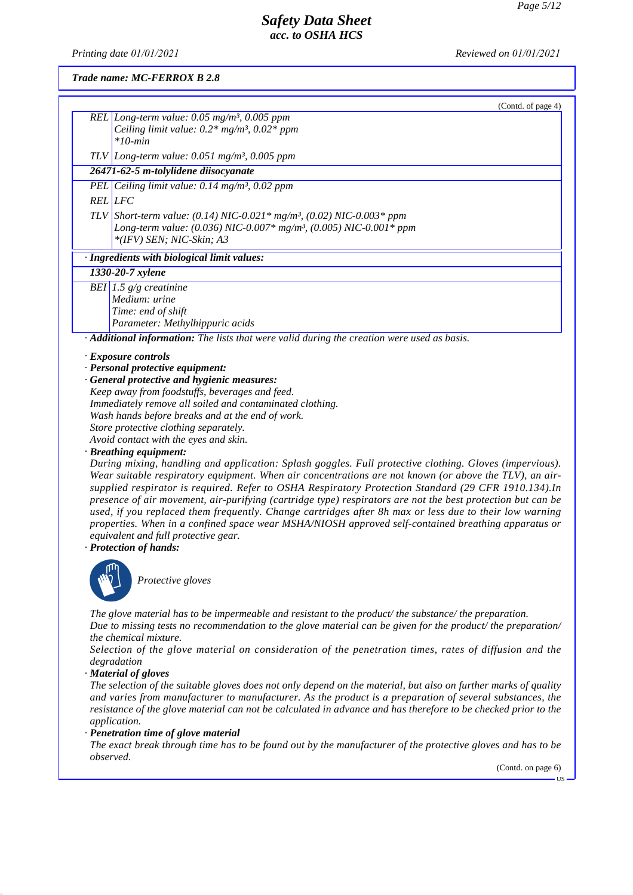(Contd. of page 4)

#### *Safety Data Sheet acc. to OSHA HCS*

*Printing date 01/01/2021 Reviewed on 01/01/2021*

*Trade name: MC-FERROX B 2.8*

| REL Long-term value: 0.05 mg/m <sup>3</sup> , 0.005 ppm     |
|-------------------------------------------------------------|
| Ceiling limit value: $0.2*$ mg/m <sup>3</sup> , $0.02*$ ppm |
| $*10$ -min                                                  |
|                                                             |

*TLV Long-term value: 0.051 mg/m³, 0.005 ppm*

## *26471-62-5 m-tolylidene diisocyanate*

*PEL Ceiling limit value: 0.14 mg/m³, 0.02 ppm*

*REL LFC*

*TLV Short-term value: (0.14) NIC-0.021\* mg/m³, (0.02) NIC-0.003\* ppm Long-term value: (0.036) NIC-0.007\* mg/m³, (0.005) NIC-0.001\* ppm \*(IFV) SEN; NIC-Skin; A3*

#### *· Ingredients with biological limit values:*

#### *1330-20-7 xylene*

*BEI 1.5 g/g creatinine Medium: urine Time: end of shift Parameter: Methylhippuric acids*

*· Additional information: The lists that were valid during the creation were used as basis.*

- *· Exposure controls*
- *· Personal protective equipment:*

*· General protective and hygienic measures: Keep away from foodstuffs, beverages and feed. Immediately remove all soiled and contaminated clothing. Wash hands before breaks and at the end of work. Store protective clothing separately. Avoid contact with the eyes and skin.*

*· Breathing equipment:*

*During mixing, handling and application: Splash goggles. Full protective clothing. Gloves (impervious). Wear suitable respiratory equipment. When air concentrations are not known (or above the TLV), an airsupplied respirator is required. Refer to OSHA Respiratory Protection Standard (29 CFR 1910.134).In presence of air movement, air-purifying (cartridge type) respirators are not the best protection but can be used, if you replaced them frequently. Change cartridges after 8h max or less due to their low warning properties. When in a confined space wear MSHA/NIOSH approved self-contained breathing apparatus or equivalent and full protective gear.*

*· Protection of hands:*



\_S*Protective gloves*

*The glove material has to be impermeable and resistant to the product/ the substance/ the preparation. Due to missing tests no recommendation to the glove material can be given for the product/ the preparation/ the chemical mixture.*

*Selection of the glove material on consideration of the penetration times, rates of diffusion and the degradation*

*· Material of gloves*

*The selection of the suitable gloves does not only depend on the material, but also on further marks of quality and varies from manufacturer to manufacturer. As the product is a preparation of several substances, the resistance of the glove material can not be calculated in advance and has therefore to be checked prior to the application.*

*· Penetration time of glove material*

*The exact break through time has to be found out by the manufacturer of the protective gloves and has to be observed.*

(Contd. on page 6)

US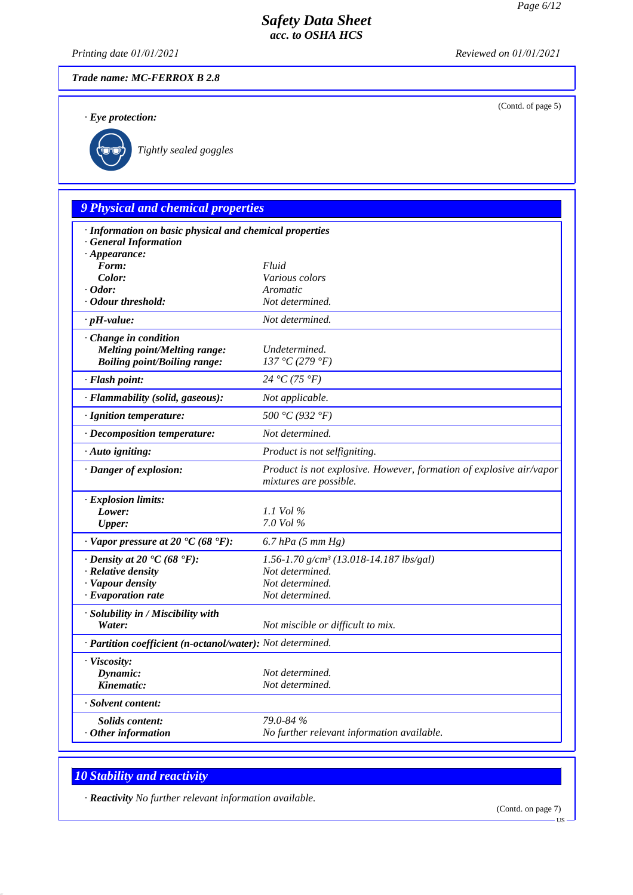(Contd. of page 5)

# *Safety Data Sheet acc. to OSHA HCS*

*Printing date 01/01/2021 Reviewed on 01/01/2021*

# *Trade name: MC-FERROX B 2.8*

*· Eye protection:*



\_R*Tightly sealed goggles*

# *9 Physical and chemical properties*

| · Information on basic physical and chemical properties    |                                                                                               |  |
|------------------------------------------------------------|-----------------------------------------------------------------------------------------------|--|
| <b>General Information</b>                                 |                                                                                               |  |
| $\cdot$ Appearance:                                        |                                                                                               |  |
| Form:                                                      | Fluid                                                                                         |  |
| Color:                                                     | Various colors                                                                                |  |
| $\cdot$ Odor:                                              | Aromatic                                                                                      |  |
| · Odour threshold:                                         | Not determined.                                                                               |  |
| $\cdot$ pH-value:                                          | Not determined.                                                                               |  |
| · Change in condition                                      |                                                                                               |  |
| <b>Melting point/Melting range:</b>                        | Undetermined.                                                                                 |  |
| <b>Boiling point/Boiling range:</b>                        | 137 °C (279 °F)                                                                               |  |
| · Flash point:                                             | 24 °C (75 °F)                                                                                 |  |
| · Flammability (solid, gaseous):                           | Not applicable.                                                                               |  |
| · Ignition temperature:                                    | 500 °C (932 °F)                                                                               |  |
| · Decomposition temperature:                               | Not determined.                                                                               |  |
| · Auto igniting:                                           | Product is not selfigniting.                                                                  |  |
| · Danger of explosion:                                     | Product is not explosive. However, formation of explosive air/vapor<br>mixtures are possible. |  |
| · Explosion limits:                                        |                                                                                               |  |
| Lower:                                                     | 1.1 Vol $\%$                                                                                  |  |
| <b>Upper:</b>                                              | 7.0 Vol %                                                                                     |  |
| $\cdot$ Vapor pressure at 20 $\cdot$ C (68 $\cdot$ F):     | $6.7$ hPa $(5$ mm Hg)                                                                         |  |
| $\cdot$ Density at 20 $\cdot$ C (68 $\cdot$ F):            | 1.56-1.70 g/cm <sup>3</sup> (13.018-14.187 lbs/gal)                                           |  |
| $\cdot$ Relative density                                   | Not determined.                                                                               |  |
| · Vapour density                                           | Not determined.                                                                               |  |
| $\cdot$ Evaporation rate                                   | Not determined.                                                                               |  |
| · Solubility in / Miscibility with                         |                                                                                               |  |
| Water:                                                     | Not miscible or difficult to mix.                                                             |  |
| · Partition coefficient (n-octanol/water): Not determined. |                                                                                               |  |
| · Viscosity:                                               |                                                                                               |  |
| Dynamic:                                                   | Not determined.                                                                               |  |
| Kinematic:                                                 | Not determined.                                                                               |  |
| · Solvent content:                                         |                                                                                               |  |
| <b>Solids content:</b>                                     | 79.0-84 %                                                                                     |  |
| $·$ Other information                                      | No further relevant information available.                                                    |  |
|                                                            |                                                                                               |  |

# *10 Stability and reactivity*

*· Reactivity No further relevant information available.*

(Contd. on page 7)

US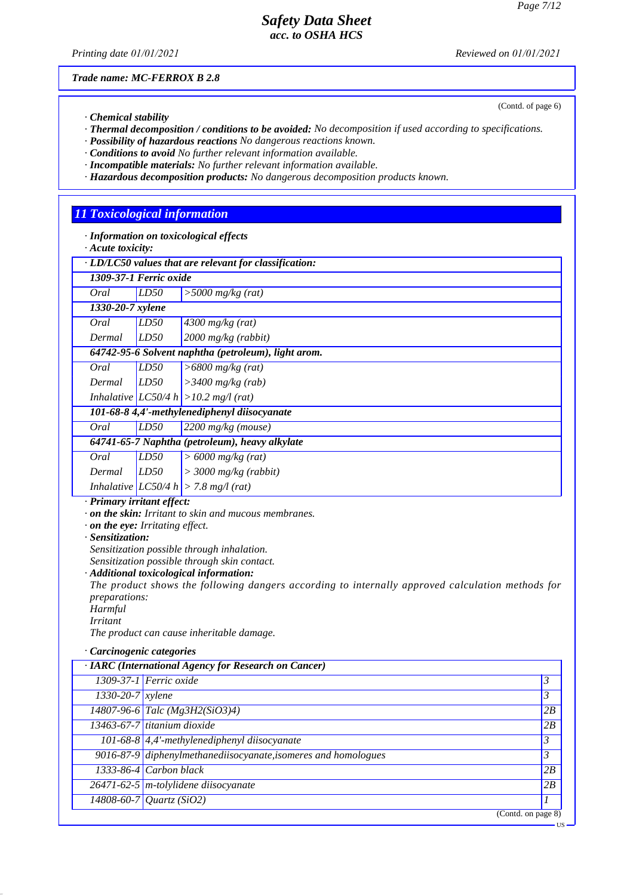(Contd. of page 6)

# *Safety Data Sheet acc. to OSHA HCS*

*Printing date 01/01/2021 Reviewed on 01/01/2021*

*Trade name: MC-FERROX B 2.8*

*· Chemical stability*

*· Thermal decomposition / conditions to be avoided: No decomposition if used according to specifications.*

*· Possibility of hazardous reactions No dangerous reactions known.*

*· Conditions to avoid No further relevant information available.*

*· Incompatible materials: No further relevant information available. · Hazardous decomposition products: No dangerous decomposition products known.*

# *11 Toxicological information*

*· Information on toxicological effects*

*· Acute toxicity:*

| 1309-37-1 Ferric oxide<br>LD50<br>$>$ 5000 mg/kg (rat)<br>Oral                                                                                                                                                                                                                                                                        |                          |
|---------------------------------------------------------------------------------------------------------------------------------------------------------------------------------------------------------------------------------------------------------------------------------------------------------------------------------------|--------------------------|
|                                                                                                                                                                                                                                                                                                                                       |                          |
|                                                                                                                                                                                                                                                                                                                                       |                          |
| 1330-20-7 xylene                                                                                                                                                                                                                                                                                                                      |                          |
| LD50<br>Oral<br>$4300$ mg/kg (rat)                                                                                                                                                                                                                                                                                                    |                          |
| LD50<br>2000 mg/kg (rabbit)<br>Dermal                                                                                                                                                                                                                                                                                                 |                          |
| 64742-95-6 Solvent naphtha (petroleum), light arom.                                                                                                                                                                                                                                                                                   |                          |
| $>6800$ mg/kg (rat)<br>LD50<br>Oral                                                                                                                                                                                                                                                                                                   |                          |
| LD50<br>$>3400$ mg/kg (rab)<br>Dermal                                                                                                                                                                                                                                                                                                 |                          |
| Inhalative $ LC50/4 h  > 10.2 mg/(rat)$                                                                                                                                                                                                                                                                                               |                          |
| 101-68-8 4,4'-methylenediphenyl diisocyanate                                                                                                                                                                                                                                                                                          |                          |
| LD50<br><b>Oral</b><br>$2200$ mg/kg (mouse)                                                                                                                                                                                                                                                                                           |                          |
| 64741-65-7 Naphtha (petroleum), heavy alkylate                                                                                                                                                                                                                                                                                        |                          |
| LD50<br>$> 6000$ mg/kg (rat)<br>Oral                                                                                                                                                                                                                                                                                                  |                          |
| LD50<br>Dermal<br>$>$ 3000 mg/kg (rabbit)                                                                                                                                                                                                                                                                                             |                          |
| Inhalative $ LC50/4 h  > 7.8 mg/(rat)$                                                                                                                                                                                                                                                                                                |                          |
| Sensitization possible through inhalation.<br>Sensitization possible through skin contact.<br>· Additional toxicological information:<br>The product shows the following dangers according to internally approved calculation methods for<br>preparations:<br>Harmful<br><i>Irritant</i><br>The product can cause inheritable damage. |                          |
| · Carcinogenic categories                                                                                                                                                                                                                                                                                                             |                          |
| · IARC (International Agency for Research on Cancer)                                                                                                                                                                                                                                                                                  |                          |
| 1309-37-1 Ferric oxide                                                                                                                                                                                                                                                                                                                | $\overline{\mathcal{E}}$ |
| 1330-20-7 xylene                                                                                                                                                                                                                                                                                                                      | 3                        |
| 14807-96-6 Talc (Mg3H2(SiO3)4)                                                                                                                                                                                                                                                                                                        | 2B                       |
| 13463-67-7 titanium dioxide                                                                                                                                                                                                                                                                                                           | 2B                       |
| 101-68-8 4,4'-methylenediphenyl diisocyanate                                                                                                                                                                                                                                                                                          | $\overline{\mathcal{E}}$ |
| 9016-87-9 diphenylmethanediisocyanate, isomeres and homologues                                                                                                                                                                                                                                                                        | $\mathfrak{Z}$           |
| 1333-86-4 Carbon black                                                                                                                                                                                                                                                                                                                | 2B                       |
| $26471 - 62 - 5$ m-tolylidene diisocyanate                                                                                                                                                                                                                                                                                            | 2B                       |
| $14808 - 60 - 7$ <i>Quartz</i> (SiO2)                                                                                                                                                                                                                                                                                                 | $\overline{l}$           |

(Contd. on page 8)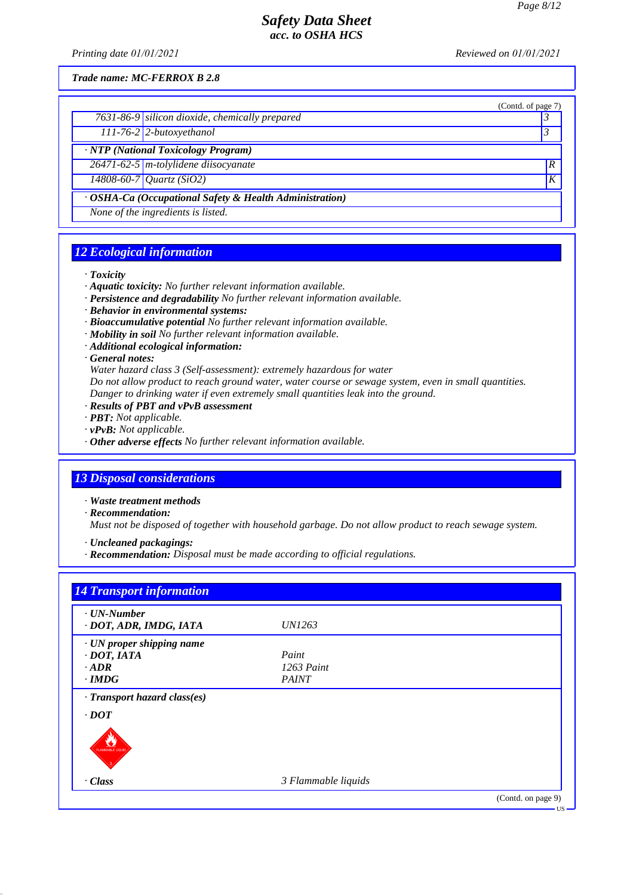*Printing date 01/01/2021 Reviewed on 01/01/2021*

*Trade name: MC-FERROX B 2.8*

|                                                                         |                                                  | (Contd. of page 7) |  |
|-------------------------------------------------------------------------|--------------------------------------------------|--------------------|--|
|                                                                         | $7631-86-9$ silicon dioxide, chemically prepared |                    |  |
|                                                                         | $111-76-2$ 2-butoxyethanol                       |                    |  |
| · NTP (National Toxicology Program)                                     |                                                  |                    |  |
|                                                                         | $26471 - 62 - 5$ m-tolylidene diisocyanate       | $\overline{R}$     |  |
|                                                                         | $14808 - 60 - 7$ <i>Quartz</i> (SiO2)            | K                  |  |
| $\overline{\cdot$ OSHA-Ca (Occupational Safety & Health Administration) |                                                  |                    |  |
|                                                                         | None of the ingredients is listed.               |                    |  |

# *12 Ecological information*

*· Toxicity*

- *· Aquatic toxicity: No further relevant information available.*
- *· Persistence and degradability No further relevant information available.*
- *· Behavior in environmental systems:*
- *· Bioaccumulative potential No further relevant information available.*
- *· Mobility in soil No further relevant information available.*
- *· Additional ecological information:*

#### *· General notes:*

*Water hazard class 3 (Self-assessment): extremely hazardous for water Do not allow product to reach ground water, water course or sewage system, even in small quantities.*

- *Danger to drinking water if even extremely small quantities leak into the ground.*
- *· Results of PBT and vPvB assessment*
- *· PBT: Not applicable.*
- *· vPvB: Not applicable.*
- *· Other adverse effects No further relevant information available.*

#### *13 Disposal considerations*

- *· Waste treatment methods*
- *· Recommendation:*

*Must not be disposed of together with household garbage. Do not allow product to reach sewage system.*

- *· Uncleaned packagings:*
- *· Recommendation: Disposal must be made according to official regulations.*

| $\cdot$ UN-Number            |                     |  |
|------------------------------|---------------------|--|
| · DOT, ADR, IMDG, IATA       | <i>UN1263</i>       |  |
| · UN proper shipping name    |                     |  |
| $\cdot$ DOT, IATA            | Paint               |  |
| $\cdot$ ADR                  | $1263$ Paint        |  |
| $\cdot$ IMDG                 | <b>PAINT</b>        |  |
| · Transport hazard class(es) |                     |  |
| $\cdot$ <i>DOT</i>           |                     |  |
|                              |                     |  |
| FLAMMABLE LIQUI              |                     |  |
|                              |                     |  |
| $\cdot$ Class                | 3 Flammable liquids |  |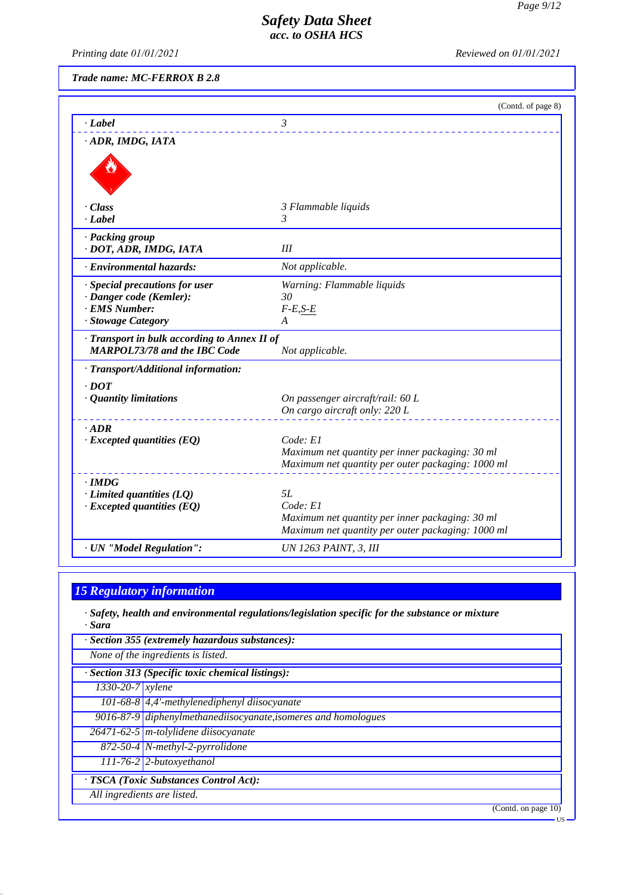US

# *Safety Data Sheet acc. to OSHA HCS*

*Printing date 01/01/2021 Reviewed on 01/01/2021*

*Trade name: MC-FERROX B 2.8*

|                                                           | (Contd. of page 8)                                |  |
|-----------------------------------------------------------|---------------------------------------------------|--|
| · Label                                                   | $\mathfrak{Z}$                                    |  |
| ADR, IMDG, IATA                                           |                                                   |  |
|                                                           |                                                   |  |
|                                                           |                                                   |  |
|                                                           |                                                   |  |
| $\cdot$ Class                                             | 3 Flammable liquids                               |  |
| · Label                                                   | 3                                                 |  |
| · Packing group                                           |                                                   |  |
| · DOT, ADR, IMDG, IATA                                    | III                                               |  |
| · Environmental hazards:                                  | Not applicable.                                   |  |
|                                                           |                                                   |  |
| · Special precautions for user<br>· Danger code (Kemler): | Warning: Flammable liquids<br>30                  |  |
| · EMS Number:                                             | $F-E,S-E$                                         |  |
| · Stowage Category                                        | A                                                 |  |
| · Transport in bulk according to Annex II of              |                                                   |  |
| <b>MARPOL73/78 and the IBC Code</b>                       | Not applicable.                                   |  |
| · Transport/Additional information:                       |                                                   |  |
| $\cdot$ DOT                                               |                                                   |  |
| · Quantity limitations                                    | On passenger aircraft/rail: 60 L                  |  |
|                                                           | On cargo aircraft only: 220 L                     |  |
| $-ADR$                                                    |                                                   |  |
| $\cdot$ Excepted quantities (EQ)                          | Code: E1                                          |  |
|                                                           | Maximum net quantity per inner packaging: 30 ml   |  |
|                                                           | Maximum net quantity per outer packaging: 1000 ml |  |
| $\cdot$ IMDG                                              |                                                   |  |
| $\cdot$ Limited quantities (LQ)                           | 5L                                                |  |
| $\cdot$ Excepted quantities (EQ)                          | Code: El                                          |  |
|                                                           | Maximum net quantity per inner packaging: 30 ml   |  |
|                                                           | Maximum net quantity per outer packaging: 1000 ml |  |
| · UN "Model Regulation":                                  | <b>UN 1263 PAINT, 3, III</b>                      |  |

|  | <b>15 Regulatory information</b> |
|--|----------------------------------|
|  |                                  |

*· Safety, health and environmental regulations/legislation specific for the substance or mixture · Sara*

| · Section 355 (extremely hazardous substances):                |                     |
|----------------------------------------------------------------|---------------------|
| None of the ingredients is listed.                             |                     |
| · Section 313 (Specific toxic chemical listings):              |                     |
| $1330-20-7$ xylene                                             |                     |
| 101-68-8 $\vert$ 4,4'-methylenediphenyl diisocyanate           |                     |
| 9016-87-9 diphenylmethanediisocyanate, isomeres and homologues |                     |
| $26471 - 62 - 5$ m-tolylidene diisocyanate                     |                     |
| 872-50-4 N-methyl-2-pyrrolidone                                |                     |
| $111-76-2$ 2-butoxyethanol                                     |                     |
| · TSCA (Toxic Substances Control Act):                         |                     |
| All ingredients are listed.                                    |                     |
|                                                                | (Contd. on page 10) |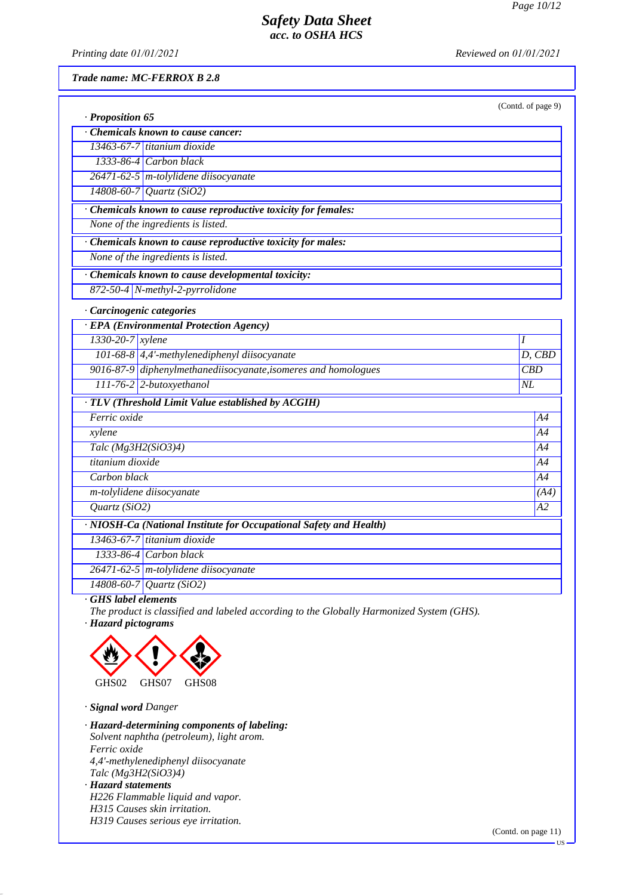*Printing date 01/01/2021 Reviewed on 01/01/2021*

*Trade name: MC-FERROX B 2.8*

| · Proposition 65          |                                                                                          | (Contd. of page 9) |                  |
|---------------------------|------------------------------------------------------------------------------------------|--------------------|------------------|
|                           | Chemicals known to cause cancer:                                                         |                    |                  |
|                           | 13463-67-7 titanium dioxide                                                              |                    |                  |
|                           | 1333-86-4 Carbon black                                                                   |                    |                  |
|                           | 26471-62-5 m-tolylidene diisocyanate                                                     |                    |                  |
|                           | $14808 - 60 - 7$ <i>Quartz</i> (SiO2)                                                    |                    |                  |
|                           | · Chemicals known to cause reproductive toxicity for females:                            |                    |                  |
|                           | None of the ingredients is listed.                                                       |                    |                  |
|                           | · Chemicals known to cause reproductive toxicity for males:                              |                    |                  |
|                           | None of the ingredients is listed.                                                       |                    |                  |
|                           | · Chemicals known to cause developmental toxicity:                                       |                    |                  |
|                           | 872-50-4 N-methyl-2-pyrrolidone                                                          |                    |                  |
| · Carcinogenic categories |                                                                                          |                    |                  |
|                           | · EPA (Environmental Protection Agency)                                                  |                    |                  |
| $1330-20-7$ xylene        |                                                                                          | I                  |                  |
|                           | 101-68-8 4,4'-methylenediphenyl diisocyanate                                             |                    | D, CBD           |
|                           | 9016-87-9 diphenylmethanediisocyanate, isomeres and homologues                           |                    | $\overline{CBD}$ |
|                           | 111-76-2 2-butoxyethanol                                                                 | NL                 |                  |
|                           | · TLV (Threshold Limit Value established by ACGIH)                                       |                    |                  |
| Ferric oxide              |                                                                                          |                    | A4               |
| xylene                    |                                                                                          |                    | A4               |
| Talc (Mg3H2(SiO3)4)       |                                                                                          |                    | A4               |
| titanium dioxide          |                                                                                          |                    | A4               |
| Carbon black              |                                                                                          |                    | A4               |
|                           | m-tolylidene diisocyanate                                                                |                    | (A4)             |
| Quartz (SiO2)             |                                                                                          |                    | A2               |
|                           | · NIOSH-Ca (National Institute for Occupational Safety and Health)                       |                    |                  |
|                           | 13463-67-7 titanium dioxide                                                              |                    |                  |
|                           | 1333-86-4 Carbon black                                                                   |                    |                  |
|                           | $26471 - 62 - 5$ m-tolylidene diisocyanate                                               |                    |                  |
|                           | 14808-60-7 Quartz (SiO2)                                                                 |                    |                  |
| GHS label elements        |                                                                                          |                    |                  |
|                           | The product is classified and labeled according to the Globally Harmonized System (GHS). |                    |                  |





*· Signal word Danger*

*· Hazard-determining components of labeling: Solvent naphtha (petroleum), light arom. Ferric oxide 4,4'-methylenediphenyl diisocyanate Talc (Mg3H2(SiO3)4) · Hazard statements H226 Flammable liquid and vapor. H315 Causes skin irritation.*

*H319 Causes serious eye irritation.*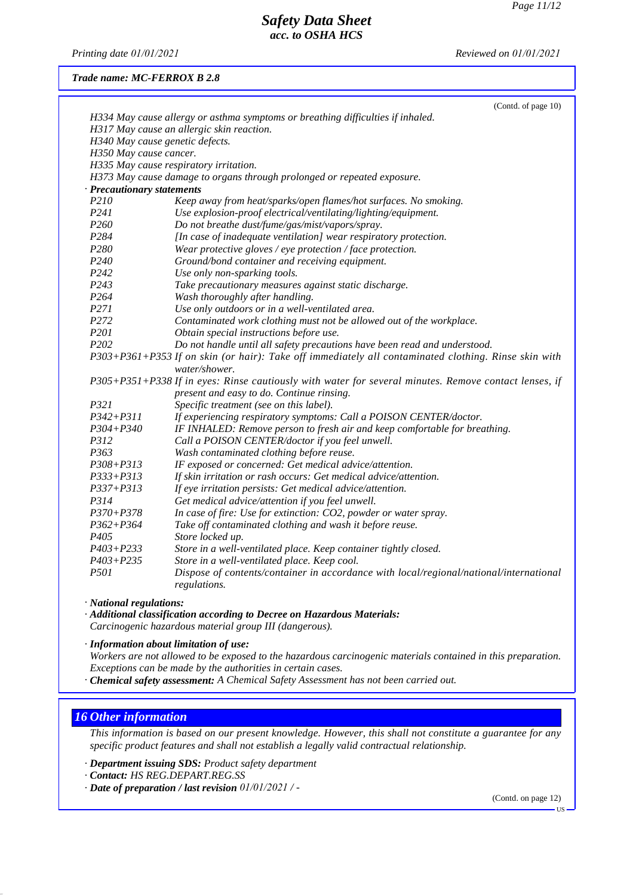*Printing date 01/01/2021 Reviewed on 01/01/2021*

*Trade name: MC-FERROX B 2.8*

|                                 | (Contd. of page 10)                                                                                   |  |
|---------------------------------|-------------------------------------------------------------------------------------------------------|--|
|                                 | H334 May cause allergy or asthma symptoms or breathing difficulties if inhaled.                       |  |
|                                 | H317 May cause an allergic skin reaction.                                                             |  |
| H340 May cause genetic defects. |                                                                                                       |  |
| H350 May cause cancer.          |                                                                                                       |  |
|                                 | H335 May cause respiratory irritation.                                                                |  |
|                                 | H373 May cause damage to organs through prolonged or repeated exposure.                               |  |
| <b>Precautionary statements</b> |                                                                                                       |  |
| P210                            | Keep away from heat/sparks/open flames/hot surfaces. No smoking.                                      |  |
| P241                            | Use explosion-proof electrical/ventilating/lighting/equipment.                                        |  |
| P260                            | Do not breathe dust/fume/gas/mist/vapors/spray.                                                       |  |
| P284                            | [In case of inadequate ventilation] wear respiratory protection.                                      |  |
| P280                            | Wear protective gloves / eye protection / face protection.                                            |  |
| P240                            | Ground/bond container and receiving equipment.                                                        |  |
| P242                            | Use only non-sparking tools.                                                                          |  |
| P <sub>243</sub>                | Take precautionary measures against static discharge.                                                 |  |
| P <sub>264</sub>                | Wash thoroughly after handling.                                                                       |  |
| P271                            | Use only outdoors or in a well-ventilated area.                                                       |  |
| P <sub>272</sub>                | Contaminated work clothing must not be allowed out of the workplace.                                  |  |
| P201                            | Obtain special instructions before use.                                                               |  |
| P <sub>202</sub>                | Do not handle until all safety precautions have been read and understood.                             |  |
|                                 | P303+P361+P353 If on skin (or hair): Take off immediately all contaminated clothing. Rinse skin with  |  |
|                                 | water/shower.                                                                                         |  |
|                                 | P305+P351+P338 If in eyes: Rinse cautiously with water for several minutes. Remove contact lenses, if |  |
|                                 | present and easy to do. Continue rinsing.                                                             |  |
| P321                            | Specific treatment (see on this label).                                                               |  |
| $P342 + P311$                   | If experiencing respiratory symptoms: Call a POISON CENTER/doctor.                                    |  |
| P304+P340                       | IF INHALED: Remove person to fresh air and keep comfortable for breathing.                            |  |
| P312                            | Call a POISON CENTER/doctor if you feel unwell.                                                       |  |
| P363                            | Wash contaminated clothing before reuse.                                                              |  |
| $P308 + P313$                   | IF exposed or concerned: Get medical advice/attention.                                                |  |
| $P333 + P313$                   | If skin irritation or rash occurs: Get medical advice/attention.                                      |  |
| P337+P313                       | If eye irritation persists: Get medical advice/attention.                                             |  |
| P314                            | Get medical advice/attention if you feel unwell.                                                      |  |
| $P370 + P378$                   | In case of fire: Use for extinction: CO2, powder or water spray.                                      |  |
| $P362 + P364$                   | Take off contaminated clothing and wash it before reuse.                                              |  |
| P405                            | Store locked up.                                                                                      |  |
| $P403 + P233$                   | Store in a well-ventilated place. Keep container tightly closed.                                      |  |
| $P403 + P235$                   | Store in a well-ventilated place. Keep cool.                                                          |  |
| <i>P501</i>                     | Dispose of contents/container in accordance with local/regional/national/international                |  |
|                                 | regulations.                                                                                          |  |
| · National regulations:         |                                                                                                       |  |
|                                 | · Additional classification according to Decree on Hazardous Materials:                               |  |
|                                 |                                                                                                       |  |

*Carcinogenic hazardous material group III (dangerous).*

*· Information about limitation of use:*

*Workers are not allowed to be exposed to the hazardous carcinogenic materials contained in this preparation. Exceptions can be made by the authorities in certain cases.*

*· Chemical safety assessment: A Chemical Safety Assessment has not been carried out.*

#### *16 Other information*

*This information is based on our present knowledge. However, this shall not constitute a guarantee for any specific product features and shall not establish a legally valid contractual relationship.*

*· Department issuing SDS: Product safety department*

*· Contact: HS REG.DEPART.REG.SS*

*· Date of preparation / last revision 01/01/2021 / -*

(Contd. on page 12)

US